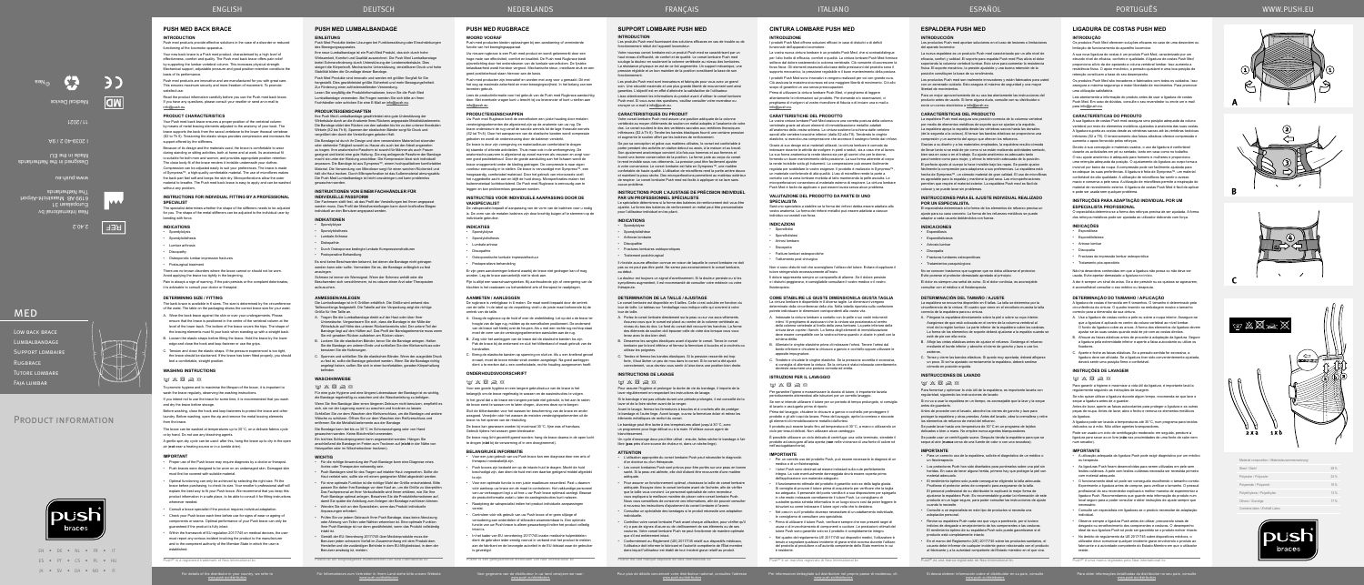EN • DE • NL • FR • IT ES • PT • CS • PL • HU JA • SV • DA • NO • FI

PRODUCT INFORMATION

www.push.eu/distributors

Für Informationen zum Vertreiber in Ihrem Land siehe bitte unsere Website Voor gegevens van de distributeur in uw land verwijzen we naar: www.push.eu/distributors Per informazioni dettagliate sul distributore nel proprio paese di residenza, cfr. www.push.eu/distributors

Si desea obtener información sobre el distribuidor en su país, consulte www.push.eu/distributors

# **SUPPORT LOMBAIRE PUSH MED INTRODUCTION**

# Les produits Push med fournissent des solutions efficaces en cas de trouble ou de

fonctionnement réduit de l'appareil locomoteur. Votre nouveau corset lombaire est un produit Push med se caractérisant par un haut niveau d'efficacité, de confort et de qualité. Le corset lombaire Push med soulage la douleur en soutenant la colonne vertébrale au niveau des lombaires. La résistance physique en est de ce fait augmentée. Un support mécanique, une pression réglable et un bon maintien de la position constituent la base de son

fonctionnement.

Les produits Push med sont innovateurs et fabriqués pour vous avec un grand soin. Une sécurité maximale et une plus grande liberté de mouvement sont ainsi garanties. L'objectif est en effet d'atteindre la satisfaction de l'utilisateur.

Le spécialiste déterminera si la forme des baleines de renforcement doit vous être ajustée. La forme des baleines de renforcement en métal peut être personnalisée r l'utilisateur individuel en les plian

**Discopathie** • Fractures lombaires ostéoporotiques

Lisez attentivement les informations du produit avant d'utiliser le corset lombaire Push med. Si vous avez des questions, veuillez consulter votre revendeur ou envoyer un e-mail à info@push.eu.

### **CARACTERISTIQUES DU PRODUIT**

Votre corset lombaire Push med assure une position adéquate de la colonne vertébrale au moyen d'éléments de soutien en métal adaptés à l'anatomie de votre dos. Le corset soutient le dos des vertèbres sacrales aux vertèbres thoraciques inférieures (S2 à Th 8). Tendre les bandes élastiques fournit une certaine pression et augmente le soutien offert par les baleines de renforcement.

. Tendez et fermez les bandes élastiques. Si la pression ressentie est trop forte, il faut lâcher un peu de mou dans le corset. Si le corset a été ajusté

correctement, vous devriez vous sentir à l'aise dans une position bien droite.

De par sa conception et grâce aux matières utilisées, le corset est confortable à porter pendant des activités en station debout ou assis, à la maison et au travai Son ajustement anatomique convient à la fois aux hommes et aux femmes et fournit une bonne conservation de la position. La forme juste au corps du corset le rend invisible sous vos vêtements. La pression peut être facilement ajustée à votre convenance. Le corset lombaire est faite en Sympress™, une matière confortable de haute qualité. L'utilisation de microfibres rend la partie arrière douce et maintient la peau sèche. Des microperforations permettent au matériau extérieur de respirer. Le corset lombaire Push med est facile à appliquer et se lave sans aucun problème.

## **INSTRUCTIONS POUR L'AJUSTAGE DE PRÉCISION INDIVIDUEL PAR UN PROFESSIONNEL SPÉCIALISTE**

# **INDICATIONS**

Spondylolyse

# Spondylolisthès

Arthrose lombair

• Traitement postchirurgical

Il n'existe aucune affection connue en raison de laquelle le corset lombaire ne doit pas ou ne peut pas être porté. Ne serrez pas excessivement le corset lombaire, au début.

La douleur est toujours un signal d'avertissement. Si la douleur persiste ou si les symptômes augmentent, il est recommandé de consulter votre médecin ou votre thérapeute.

### **DETERMINATION DE LA TAILLE / AJUSTAGE**

Le corset lombaire est disponible en 6 tailles. Celle-ci est calculée en fonction du tour de taille. Le tableau sur l'emballage vous indique celle qui convient à votre tour de taille.

A. Portez le corset lombaire directement sur la peau ou sur vos sous-vêtements. Assurez-vous que le corset est placé au centre de la colonne vertébrale au niveau du bas du dos. Le fond du corset doit recouvrir les hanches. La forme des éléments de soutien doit épouser celle de votre dos lorsque vous vous levez avec le dos bien droit.

B. Desserrez les sangles élastiques avant d'ajuster le corset. Tenez le corset lombaire par le bord inférieur et fermez la fermeture à boucles et à crochets ou utilisez les poignées.

# **INSTRUCTIONS DE LAVAGE**

 $W$   $\times$   $\boxtimes$   $\cong$   $\otimes$ 

- Pour assurer l'hygiène et prolonger la durée de vie du bandage, il importe de la laver régulièrement en respectant les instructions de lavage.
- Si le bandage n'est pas utilisée durant une période prolongée, il est conseillé de la laver et de la faire sécher avant de la ranger.
- Avant le lavage, fermez les fermetures à boucles et à crochets afin de protéger
- le bandage et l'autre linge. Avant lavage, ouvrez la fermeture éclair et retirez les éléments métalliques de renfort du corset.
- Le bandage peut être lavée à des températures allant jusqu'à 30°C, avec un programme pour linge délicat ou à la main. N'utilisez aucun agent de
- blanchissement. Un cycle d'essorage doux peut être utilisé : ensuite, faites sécher le bandage à l'air libre (**pas** près d'une source de chaleur ni, dans un sèche-linge).

### **ATTENTION**

- Spondylolisthesi
- Lumbale Arthrose
- Diskopathie
- Durch Osteoporose bedingte lumbale Kompressionsfrakture
- Postoperative Behandlung

- 
- L'utilisation appropriée du corset lombaire Push peut nécessiter le diagnostic d'un docteur ou d'un thérapeute. Les corset lombaires Push sont prévus pour être portés sur une peau en bonne santé. Si la peau est abîmée, elle doit d'abord être recouverte d'une matière
- adéquate. • Pour assurer un fonctionnement optimal, choisissez la taille de corset lombaire adéquate. Essayez donc le corset lombaire avant de l'acheter, afin de vérifier que la taille vous convient. Le personnel spécialisé de votre revendeur vous expliquera la meilleure manière de placer votre corset lombaire Push.
- Nous vous conseillons de conserver ces informations, afin de pouvoir consulter à nouveau les instructions d'ajustement du corset lombaire à l'avenir. • Consultez un spécialiste des bandages si le produit nécessite une adaptation
- individuelle. • Contrôlez votre corset lombaire Push avant chaque utilisation, pour vérifier qu'il
- n'y a pas de signes d'usure ou de vieillissement de ses éléments ou de ses coutures. Votre corset lombaire Push ne peut fonctionner de manière optimale que s'il est entièrement intact.
- Conformément au Règlement (UE) 2017/745 relatif aux dispositifs médicaux, l'utilisateur doit informer le fabricant et l'autorité compétente de l'État membre dans lequel l'utilisateur est établi de tout incident grave relatif au produit.

Pour plus de détails concernant votre distributeur national, consultez l'adresse<br>www.push.eu/distributors

Es sind keine Beschwerden bekannt, bei denen die Bandage nicht getrage werden kann oder sollte. Vermeiden Sie es, die Bandage anfänglich zu fest anzulegen.

### **ANMESSEN/ANLEGEN**

Die Lumbalbandage ist in 6 Größen erhältlich. Die Größe wird anhand des Taillenumfangs festgestellt. Die Tabelle auf der Verpackung zeigt die richtige Größe für Ihre Taille an.

- A. Tragen Sie die Lumbalbandage direkt auf der Haut oder über Ihrer Unterwäsche. Vergewissern Sie sich, dass die Bandage in der Mitte der Wirbelsäule auf Höhe des unteren Rückenbereichs sitzt. Der untere Teil der Bandage liegt auf den Hüften auf. Das Profil der Bandageelemente muss wenn Sie mit geradem Rücken aufstehen am Rücken sitzen.
- B. Lockern Sie die elastischen Bänder, bevor Sie die Bandage anlegen. Halten Sie die Bandage am unteren Ende und schließen Sie den Klettverschluss oder benutzen Sie die Halterungen.
- C. Spannen und schließen Sie die elastischen Bänder. Wenn der ausgeübte Druck zu fest ist, sollte die Bandage gelockert werden. Wenn Sie die Bandage richtig angelegt haben, sollten Sie sich in einer komfortablen, geraden Körperhaltung befinden.

# **WASCHHINWEISE**

# $M \times \boxtimes \geqslant \otimes$

cómodo en posición erguida. **INSTRUCCIONES DE LAVADO**  $\mathbb{F} \times \mathbb{R} \times \mathbb{R}$ 

Für eine gute Hygiene und eine längere Lebensdauer der Bandage ist es wichtig, die Bandage regelmäßig zu waschen und die Waschanleitung zu befolgen. Wenn Sie Ihre Bandage über einen längeren Zeitraum nicht benutzen, empfiehlt es sich, sie vor der Lagerung zuerst zu waschen und trocknen zu lassen. Schließen Sie vor dem Waschen den Klettverschluss, um die Bandage und andere Wäsche zu schützen. Öffnen Sie vor dem Waschen den Reißverschluss und entfernen Sie die Metallstützelemente aus der Bandage

Die Bandage kann bei bis zu 30°C im Schonwaschgang oder von Hand gewaschen werden. Keine Bleichmittel verwenden.

Ein leichtes Schleuderprogramm kann angewendet werden. Hängen Sie anschließend die Bandage im Freien zum Trocknen auf (**nicht** in der Nähe von Heizquellen oder im Wäschetrockner trocknen).

### **WICHTIG**

Low back brace Lumbalbandage SUPPORT LOMBAIRE

- Für die richtige Anwendung der Push Bandage kann eine Diagnose eines Arztes oder Therapeuten notwendig sein.
- Push Bandagen sind für das Tragen auf intakter Haut vorgesehen. Sollte die Haut verletzt sein, sollte sie mit einem geeigneten Mittel abgedeckt werden.
- Für eine optimale Funktion ist die richtige Wahl der Größe entscheidend. Bitte passen Sie daher Ihre Bandage vor dem Kauf an, um die Größe zu überprüfen. Das Fachpersonal an Ihrer Verkaufsstelle wird Ihnen erklären, wie Sie Ihre Push Bandage optimal anlegen. Bewahren Sie die Produktinformationen auf, damit Sie später die Anleitung zum Anlegen der Bandage nachlesen können.
- Wenden Sie sich an den Spezialisten, wenn das Produkt individuelle Anpassungen erfordert.
- Prüfen Sie vor jedem Gebrauch Ihrer Push Bandage, dass keine Abnutzung oder Alterung von Teilen oder Nähten erkennbar ist. Eine optimale Funktion Ihrer Push Bandage ist nur dann gewährleistet, wenn das Produkt vollständig intakt ist.
- Gemäß der EU-Verordnung 2017/745 über Medizinprodukte muss der Benutzer jeden schweren Vorfall im Zusammenhang mit dem Produkt dem Hersteller und der zuständigen Behörde in dem EU-Mitgliedstaat, in dem der Benutzer ansässig ist, melden.

Your Push med back brace ensures a proper position of the vertebral column by means of metal bracing elements adjusted to the anatomy of your back. The brace supports the back from the sacral vertebrae to the lower thoracal vertebrae (S2 to Th 8). Tensioning the elastic straps provides compression and increases the support offered by the stiffeners.

Push® ist ein eingetragenes Warenzeichen von Nea International bv

# **PUSH MED LUMBALBANDAGE EINLEITUNG**

Push Med Produkte bieten Lösungen bei Funktionsstörung oder Einschränkungen des Bewegungsapparates.

Because of its design and the materials used, the brace is comfortable to wear during standing or sitting activities, both at home and at work. Its anatomical fit is suitable for both men and women, and provides appropriate position retention. The close body-fit of the brace renders it invisible underneath your clothes. Compression can be adjusted easily to suit your preferences. The brace is made of Sympress™, a high-quality comfortable material. The use of microfibres make the back part feel soft and keeps the skin dry. Microperforations allow the outer material to breathe. The Push med back brace is easy to apply and can be washed without any problem.

Ihre neue Lumbalbandage ist ein Push Med Produkt, das sich durch hohe Wirksamkeit, Komfort und Qualität auszeichnet. Die Push Med Lumbalbandage bietet Schmerzlinderung durch Unterstützung der Lendenwirbelsäule. Dies steigert die Körperkraft. Mechanische Unterstützung, einstellbarer Druck und hohe Stabilität bilden die Grundlage dieser Bandage.

- Spondylolysis **Spondylolisthesis**
- Lumbar arthrosis
- **Discopathy**
- Osteoporotic lumbar impression fractures
- Postsurgical treatment

There are no known disorders where the brace cannot or should not be worr

Push Med Produkte sind innovativ und werden mit größter Sorgfalt für Sie hergestellt. Dies gewährleistet größte Sicherheit und mehr Bewegungsfreiheit. Zur Förderung einer zufriedenstellenden Verwendung.

Lesen Sie sorgfältig die Produktinformationen, bevor Sie die Push Med Lumbalbandage verwenden. Bei Fragen wenden Sie sich bitte an Ihren Fachhändler oder schicken Sie eine E-Mail an info@push.eu.

# **PRODUKTEIGENSCHAFTEN**

Ihre Push Med Lumbalbandage gewährleistet eine gute Unterstützung der Wirbelsäule durch an die Anatomie Ihres Rückens angepasste Metallstützelemente. Die Bandage stützt den Rücken von den sakralen bis hin zu den unteren thorakalen Wirbeln (S2 bis Th 8). Spannen der elastischen Bänder sorgt für Druck und vergrößert den durch die Versteifungen geboten Halt.

Die Bandage ist durch ihr Design und dem verwendeten Material bei sitzender oder stehender Tätigkeit sowohl zu Hause als auch bei der Arbeit angenehm zu tragen. Ihre anatomische Passform ist sowohl für Männer als auch Frauen geeignet und bietet eine gute Haltung. Die eng anliegende Passform der Bandage macht sie unter der Kleidung unsichtbar. Die Kompression lässt sich individuell anpassen. Die Bandage ist aus Sympress™, einem hochqualitativen komfortablen Material. Die Verwendung von Mikrofaser sorgt für einen weichen Rückenteil und hält die Haut trocken. Durch Mikroperforation ist das Außenmaterial atmungsaktiv. Die Push Med Lumbalbandage ist leicht anzubringen und kann problemlos gewaschen werden.

# **INSTRUKTIONEN VON EINEM FACHHÄNDLER FÜR INDIVIDUELLE PASSFORM**

Der Fachmann stellt fest, ob das Profil der Versteifungen bei Ihnen angepasst werden muss. Das Profil der Metallversteifungen kann durch kraftvolles Biegen individuell an den Benutzer angepasst werden.

## **INDIKATIONEN**

• Spondylolyse

De brace is door zijn vormgeving en materiaalkeuze comfortabel te dragen bij staande of zittende activiteiten. Thuis maar ook in de werkomgeving. De anatomische pasvorm is afgestemd op zowel mannen als vrouwen en zorgt voor een goed positiebehoud. Door de goede aansluiting aan het lichaam wordt de brace onopgemerkt onder de kleding gedragen. De compressie is naar eigen voorkeur eenvoudig in te stellen. De brace is vervaardigd met Sympress™, een hoogwaardig, comfortabel materiaal. Door het gebruik van microvezels voelt het ruggedeelte zacht aan en blijft de huid droog. Microperforaties maken het buitenmateriaal luchtdoorlatend. De Push med Rugbrace is eenvoudig aan te leggen en kan probleemloos gewassen worde

Schmerz ist immer ein Warnsignal. Wenn der Schmerz anhält oder die Beschwerden sich verschlimmern, ist es ratsam einen Arzt oder Therapeuten aufzusuchen.

# **ESPALDERA PUSH MED**

# **INTRODUCCIÓN**

Los productos Push med aportan soluciones en el caso de lesiones o limitaciones del aparato locomotor.

La nueva espaldera es un producto Push med caracterizado por un alto nivel de eficacia, confort y calidad. El soporte para espalda Push med Plus alivia el dolor soportando la columna vertebral lumbar. Esto sirve para aumentar la resiste física. El soporte mecánico, la presión ajustable y una buena retención de la posición constituyen la base de su rendimiento. Los productos Push med son realmente innovadores y están fabricados para usted

con un esmerado cuidado. Esto asegura el máximo de seguridad y una mayor libertad de movimientos.

Para un mejor aprovechamiento de su uso lea atentamente las instrucciones del producto antes de usarlo. Si tiene alguna duda, consulte con su distribuidor o envíe un correo electrónico a info@push.eu.

A. Draag de rugbrace op de huid of over de onderkleding. Let op dat u de brace te hoogte van de lage rug, midden op de wervelkolom positioneert. De onderrand van de brace valt hierbij over de heupen. Als u met een rechte rug rechtop staat moet de vorm van de verstevigingselementen aansluiten aan de rug. B. Zorg vóór het aanleggen van de brace dat de elastische banden los zijn. Pak de brace bij de onderrand en sluit het klittenband of maak gebruik van de

C. Breng de elastische banden op spanning en sluit ze. Als u een knellend gevoel ervaart, moet de brace minder strak worden aangelegd. Na goed aanlegg dient u te merken dat u een comfortabele, rechte houding aangenomen heef

## **CARACTERÍSTICAS DEL PRODUCTO**

La espaldera Push med asegura una posición correcta de la columna vertebral por medio de elementos metálicos de soporte que se ajustan a la espalda. La espaldera apoya la espalda desde las vértebras sacras hasta las dorsales (de la segunda a la octava). Al tensar las bandas elásticas se proporciona una compresión y un aumento del apoyo que ofrecen los refuerzos.

Gracias a su diseño y a los materiales empleados, la espaldera resulta cómoda de llevar tanto si se está de pie como si se están realizando actividades sentado, bien sea en casa o en el trabajo. Su ajuste anatómico es adecuado tanto para hombre como para mujer, y ofrece la retención adecuada de la posición. El perfecto ajuste al cuerpo la hace invisible bajo las ropas. Se puede ajustar fácilmente la compresión para adaptarse a sus preferencias. La espaldera está hecha de Sympress™, un cómodo material de gran calidad. El uso de microfibras es agradable para la espalda y mantiene la piel seca. Las microper permiten que respire el material exterior. La espaldera Push med es fácil de colocar y se puede lavar sin problemas.

• In het kader van EU verordening 2017/745 inzake medische hulpmiddelen dient de gebruiker ieder ernstig voorval in verband met het product te melden aan de fabrikant en de bevoegde autoriteit in de EU-lidstaat waar de gebruiker La vostra nuova cintura lombare è un prodotto Push Med, che si contraddistingue per l'alto livello di efficacia, comfort e qualità. La cintura lombare Push Med fornisce sollievo dal dolore sostenendo la colonna vertebrale. Ciò consente di accrescere la forza fisica. Gli elementi essenziali alla base delle prestazioni del prodotto sono il supporto meccanico, la pressione regolabile e il buon mantenimento della postura. I prodotti Push Med sono innovativi e vengono realizzati per voi con grande cura Ciò assicura la massima sicurezza ed una maggiore libertà di movimento. Ciò allo scopo di garantire un uso senza preoccupazioni

## **INSTRUCCIONES PARA EL AJUSTE INDIVIDUAL REALIZADO POR UN ESPECIALISTA.**

El especialista determinará si la forma de los elementos de refuerzo precisa un ajuste para su caso concreto. La forma de los refuerzos metálicos se puede adaptar a cada usuario doblándolos con fuerza.

## **INDICACIONES**

- Espondilosis • Espondilolistesis
- Artrosis lumbar
- Discopatía

• Fracturas lumbares osteoporóticas • Tratamientos posquirúrgicos

No se conocen trastornos que sugieran que no deba utilizarse el protector.

El dolor es siempre una señal de aviso. Si el dolor continúa, es aconsejabl

consultar con el médico o el fisioterapeuta. **DETERMINACIÓN DEL TAMAÑO / AJUSTE**

La espaldera se encuentra disponible en 6 tallas. La talla se determina por la circunferencia de la cintura. El cuadro que viene en el envoltorio muestra la talla

correcta de la espaldera para su cintura.

A. Póngase la espaldera directamente sobre la piel o sobre su ropa interior. Asegúrese de que está colocada en el centro de la columna vertebral al nivel de la región lumbar. La parte inferior de la espaldera cubre las caderas. La forma de los elementos de soporte deberá ajustarse a la espalda cuando se

**INDICAZIONI** Spondiloli

esté de pie con ella recta.

- Spondiloliste
- Artrosi lombare
- **Discopatia**
- Fratture lombari osteoporotiche
- Trattamento post-chirurgico

B. Afloje las cintas elásticas antes de ajustar el refuerzo. Sostenga el refuerzo mediante el borde inferior y abroche el cierre de gancho y lazo o use los

asideros.

C. Tense y cierre las bandas elásticas. Si queda muy apretada, deberá aflojarse un poco. Si se ha ajustado correctamente la espaldera, deberá sentirse

- potrete individuare le dimensioni corrispondenti alla vostra vita. A. Indossate la cintura lombare a contatto con la pelle o sui vostri indumenti intimi. Vi preghiamo di assicurarvi che la cintura sia posizionata al centro della colonna vertebrale al livello della zona lombare. La parte inferiore della cintura deve coprire i fianchi. La forma degli elementi di immobilizza deve essere compatibile con la vostra schiena quando vi alzate in piedi con la schiena diritta.
- B. Allentate le cinghie elastiche prima di indossare l'ortesi. Tenere l'ortesi dal bordo inferiore e chiudere la chiusura a gancio e occhiello oppure utilizzare le posite impugnature

Para fomentar y optimizar la vida útil de la espaldera, es importante lavarla con

regularidad, siguiendo las instrucciones de lavado.

Si no va a usar la espaldera en un tiempo, es aconsejable que la lave y la seque

antes de guardarla.

Antes de proceder con el lavado, abroche los cierres de gancho y lazo para proteger la espaldera y otras prendas. Antes del lavado, abra la cremallera y retire

los elementos de refuerzo de metal del refuerzo.

Se puede lavar hasta una temperatura de 30°C en un programa de tejidos delicados o bien a mano. No emplee nunca agentes blanqueadores. Se puede usar un centrifugado suave. Después tienda la espaldera para que se seque al aire (**nunca** cerca de una fuente de calor o con una secadora).

**IMPORTANTE**

• Para un correcto uso de la espaldera, solicite el diagnóstico de un médico o

un fisioterapeuta.

• Los protectores Push han sido diseñados para ponérselos sobre una piel sin heridas. En caso de tener alguna herida, primero hay que proteger la piel con

material adecuado.

• El rendimiento óptimo solo puede conseguirse eligiendo la talla adecuada. Pruébese el protector antes de comprarlo para asegurarse de la talla. El personal profesional de su distribuidor le explicará la mejor forma de ajustarse la espaldera Push. Es recomendable guardar la información de este producto en un lugar seguro, para poder consultar las instrucciones de ajuste

cuando lo necesite.

• Consulte a un especialista en este tipo de productos si necesita una

adaptación personal.

• Revise su espaldera Push cada vez que vaya a ponérsela, por si tuviera indicios de desgaste o envejecimiento de los componentes o las costuras. El rendimiento óptimo de su espaldera Push solo puede garantizarse si el

Evite ponerse el protector demasiado apretado al principi

producto está completamente intacto.

Push<sup>®</sup> es una marca registrada de Nea International

• En el marco del Reglamento (UE) 2017/745 sobre los productos sanitarios, el usuario debe informar de cualquier incidente grave relacionado con el producto al fabricante y a la autoridad competente del Estado miembro en el que viva.

Para obter informações detalhadas do distribuidor no seu país, consulte<br>www.push.eu/distributors

A sua ligadura de costas Push med assegura uma posição adequada da coluna vertebral por meio de elementos metálicos ajustados à anatomia das suas costas. A ligadura suporta as costas desde as vértebras sacras até às vértebras torácicas inferiores (S2 a T8). O tensionamento das faixas elásticas oferece compressão

# **PUSH MED BACK BRACE**

**INTRODUCTION**

Push med products provide effective solutions in the case of a disorder or reduced functioning of the locomotor apparatus.

Your new back brace is a Push med product, characterised by a high level of effectiveness, comfort and quality. The Push med back brace offers pain relief by supporting the lumbar vertebral column. This increases physical strength. Mechanical support, adjustable pressure and good position retention constitute the basis of its performance.

> Fracturas da impressão lombar osteoporótio • Tratamento pós-operatório

Push med products are innovative and are manufactured for you with great care. This ensures maximum security and more freedom of movement. To promote satisfied use.

Read the product information carefully before you use the Push med back brace. If you have any questions, please consult your reseller or send an e-mail to info@push.eu.

# **PRODUCT CHARACTERISTICS**

A. Use a ligadura de costas contra a pele ou sobre a roupa interior. Assegure-se que a ligadura é aplicada no centro da coluna vertebral ao nível lombar. O fundo da ligadura cobre as ancas. A forma dos elementos da ligadura devem ajustar-se às suas costas quando está de pé com as costas direitas. B. Afrouxe as faixas elásticas antes de proceder à adaptação da ligadura. Segure a ligadura pela extremidade inferior e aperte a faixa autocolante ou utilize os

**INSTRUÇÕES DE LAVAGEM**  $m \times \mathbb{R} \gg \mathbb{R}$ 

# **INSTRUCTIONS FOR INDIVIDUAL FITTING BY A PROFESSIONAL SPECIALIST**

The specialist determines whether the shape of the stiffeners needs to be adjusted for you. The shape of the metal stiffeners can be adjusted to the individual user by

# bending with force. **INDICATIONS**

Avoid applying the brace too tightly in the beginning.

Pain is always a sign of warning. If the pain persists or the complaint deteriorates, it is advisable to consult your doctor or therapist.

### **DETERMINING SIZE / FITTING**

The back brace is available in 6 sizes. The size is determined by the circumference of the waist. The table on the packaging shows the correct brace size for your waist.

- A. Wear the back brace against the skin or over your undergarments. Please ensure that the brace is positioned in the centre of the vertebral column at the level of the lower back. The bottom of the brace covers the hips. The shape of the bracing elements must fit your back when standing up with a straight back.
- B. Loosen the elastic straps before fitting the brace. Hold the brace by the lower edge and close the hook and loop fastener or use the grips.
- Tension and close the elastic straps. If the pressure experienced is too tight the brace should be slackened. If the brace has been fitted properly, you should
- feel a comfortable, straight position **WASHING INSTRUCTIONS**

 $M$   $X$   $\overline{\otimes}$   $R$   $\overline{\otimes}$ 

To promote hygiene and to maximise the lifespan of the brace, it is important to wash the brace regularly, observing the washing instructions.

If you intend not to use the brace for some time, it is recommended that you wash and dry the brace before storage.

Before washing, close the hook and loop fasteners to protect the brace and other laundry. Before washing, open the zip and remove the metal bracing elements from the brace.

The brace can be washed at temperatures up to 30°C, on a delicate fabrics cycle or by hand. Do not use any bleaching agents.

A gentle spin-dry cycle can be used: after this, hang the brace up to dry in the open air (**not** near a heating source or in a tumble drier).

### **IMPORTANT**

- Proper use of the Push brace may require diagnosis by a doctor or therapist. • Push braces were designed to be worn on an undamaged skin. Damaged skin must first be covered with suitable material.
- Optimal functioning can only be achieved by selecting the right size. Fit the brace before purchasing, to check its size. Your reseller's professional staff will explain the best way to fit your Push brace. We recommend that you keep this product information in a safe place, to be able to consult it for fitting instructions whenever needed.
- Consult a brace specialist if the product requires individual adaptation.
- Check your Push brace each time before use for signs of wear or ageing of components or seams. Optimal performance of your Push brace can only be guaranteed if the product is fully intact.
- Within the framework of EU regulation 2017/745 on medical devices, the user must report any serious incident involving the product to the manufacturer and to the competent authority of the Member State in which the user is

established. Push® is a registered trademark of Nea International bv

For details of the distributor in your country, we refer to<br>www.push.eu/distributors

# **PUSH MED RUGBRACE**

# **WOORD VOORAF**

Push med producten bieden oplossingen bij een aandoening of verminderde functie van het bewegingsapparaat.

Uw nieuwe rugbrace is een Push med product en wordt gekenmerkt door een hoge mate van effectiviteit, comfort en kwaliteit. De Push med Rugbrace biedt pijnverlichting door het ondersteunen van de lumbale wervelkolom. De fysieke belastbaarheid wordt hierdoor vergroot. Mechanische steun, instelbare druk en een goed positiebehoud staan hiervoor aan de basis.

Push med producten zijn innovatief en worden met zorg voor u gemaakt. Dit met het oog op maximale zekerheid en meer bewegingsvrijheid. In het belang van een tevreden gebruik.

Lees de productinformatie voor het gebruik van de Push med Rugbrace aandachtig door. Met eventuele vragen kunt u terecht bij uw leverancier of kunt u stellen aan info@push.eu.

### **PRODUCTEIGENSCHAPPEN**

Uw Push med Rugbrace biedt de wervelkolom een juiste houding door metalen verstevigingselementen die afgestemd zijn op de anatomie van uw rug. De brace ondersteunt de rug vanaf de sacrale wervels tot de lage thoracale wervels (S2 tot Th 8). Door het aanspannen van de elastische banden wordt compressie geboden en wordt de ondersteuning door de baleinen versterkt.

### **INSTRUCTIES VOOR INDIVIDUELE AANPASSING DOOR DE VAKSPECIALIST**

De vakspecialist bepaalt of aanpassing van de vorm van de baleinen voor u nodig is. De vorm van de metalen baleinen zijn door krachtig buigen af te stemmen op de individuele gebruiker.

### **INDICATIES**

- Spondylolyse
- Spondylolisthesis
- Lumbale artrose
- **Discopathie**
- Osteoporotische lumbale impressiefractuu
- Postoperatieve behandeling

Er zijn geen aandoeningen bekend waarbij de brace niet gedragen kan of mag worden. Leg de brace aanvankelijk niet te strak aan. Pijn is altijd een waarschuwingsteken. Bij aanhoudende pijn of verergering van de

klachten is het raadzaam uw behandelend arts of therapeut te raadplege

**AANMETEN / AANLEGGEN**

De rugbrace is verkrijgbaar in 6 maten. De maat wordt bepaald door de omtrek van de taille. In de tabel op de verpakking vindt u de juiste maat behorende bij de

omtrek van de taille.

handvatten.

 $m \times R \geqslant n$ 

**ONDERHOUDSVOORSCHRIFT**

Voor een goede hygiëne en een langere gebruiksduur van de brace is het belangrijk om de brace regelmatig te wassen en de wasinstructies te volgen. In het geval dat u de brace een langere periode niet gebruikt, is het aan te raden de brace eerst te wassen en te laten drogen, alvorens deze op te bergen. Sluit de klittenbanden voor het wassen ter bescherming van de brace en ander wasgoed. Verwijder vóór het wassen de metalen verstevigingselementen uit de

brace na het openen van de ritssluiting.

De brace kan gewassen worden bij maximaal 30°C, fijne was of handwas.

Gebruik tijdens het wassen geen bleekwater.

De brace mag licht gecentrifugeerd worden: hang de brace daarna in de open lucht

te drogen (**niet** bij de verwarming of in een droogtrommel).

**BELANGRIJKE INFORMATIE**

• Voor een juist gebruik van uw Push brace kan een diagnose door een arts of

therapeut noodzakelijk zijn.

• Push braces zijn bedoeld om op de intacte huid te dragen. Mocht de huid beschadigd zijn, dan dient de huid met een daartoe geëigend middel afgedekt

te zijn.

• Voor een optimale functie is een juiste maatkeuze essentieel. Past u daarom vóór aankoop uw brace om de maat te controleren. Het vakkundige personeel van uw verkooppunt legt u uit hoe u uw Push brace optimaal aanlegt. Bewaar de productinformatie zodat u later de aanleginstructies kunt nalezen. • Raadpleeg de vakspecialist indien het product individuele aanpassingen

vereist.

• Controleer vóór elk gebruik van uw Push brace of er geen slijtage of udering aan onderdelen of stiknaden waarneembaar is. Een optimale functie van uw Push brace is alleen gewaarborgd indien het product volledig

Push<sup>®</sup> is een geregistreerde merknaam van Nea International bv

intact is.

is gevestigd.

# **CINTURA LOMBARE PUSH MED**

**INTRODUZIONE** I Push Med offrono soluzioni efficaci in caso di disturbi o di deficit funzionale dell'apparato locomotore.

Prima di utilizzare la cintura lombare Push Med, vi preghiamo di leggere

attentamente le informazioni sul prodotto. Per domande e/o osservazioni, vi preghiamo di rivolgervi al vostro rivenditore di fiducia o di inviare una e-mail a info@push.eu.

### **CARATTERISTICHE DEL PRODOTTO**

La vostra cintura lombare Push Med assicura una corretta postura della colonna vertebrale grazie ad alcuni elementi di immobilizzazione metallici adattati all'anatomia della vostra schiena. La cintura sostiene la schiena dalle vertebre sacrali alle vertebre toraciche inferiori (dalla S2 alla T8). Tendendo le cinghie elastiche, si esercita una compressione che accresce il sostegno fornito dai rinforzi.

Grazie al suo design ed ai materiali utilizzati, la cintura lombare è comoda da indossare durante le attività da svolgere in piedi o seduti, sia a casa che al lavoro. La sua forma anatomica la rende idonea sia per gli uomini che per le donne, nendo un buon mantenimento della posizione. La sua forma aderente al corp la rende invisibile sotto gli indumenti. La compressione può essere facilmente egolata per soddisfare le vostre esigenze. Il prodotto è realizzato in Sympress™ un materiale confortevole di alta qualità. L'uso di microfibre rende la parte a contatto con la zona lombare morbida al tatto mantenendo la pelle asciutta. Le microperforazioni consentono al materiale esterno di respirare. La cintura lombare Push Med è facile da applicare e può essere lavata senza alcun problema.

### **VALUTAZIONE DEL PRODOTTO DA PARTE DI UNO SPECIALISTA**

Sarà uno specialista a stabilire se la forma dei rinforzi debba essere adattata alla vostra anatomia. La forma dei rinforzi metallici può essere adattata a ciascun individuo curvandoli con forza.

Non vi sono disturbi noti che sconsigliano l'utilizzo del tutore. Evitare di applicare il tutore stringendolo eccessivamente all'inizio.

> Il dolore rappresenta sempre un campanello di allarme. Se il dolore persiste o i disturbi peggiorano, è consigliabile consultare il vostro medico o il vostro fisioterapista.

### **COME STABILIRE LE GIUSTE DIMENSIONI/LA GIUSTA TAGLIA** La cintura lombare è disponibile in 6 diverse taglie. Le dimensioni vengono determinate dalla circonferenza della vita. Nella tabella riportata sulla confezione

C. Tendete e chiudete le cinghie elastiche. Se la pressione avvertita è eccessiva, si consiglia di allentare la cintura. Se la cintura è stata indossata correttamente, dovreste assumere una postura comoda ed eretta.

# **ISTRUZIONI PER IL LAVAGGIO**

 $W \times \boxtimes \cong \otimes$ 

Per garantire l'igiene e massimizzare la durata di tutore, è importante lavarla periodicamente attenendosi alle istruzioni per un corretto lavaggio.

Se non si intende utilizzare il tutore per un periodo di tempo prolungato, si consiglia

- di lavarlo e asciugarlo prima di riporlo. Prima del lavaggio, chiudere le chiusure a gancio e occhiello per proteggere il
- prodotto e gli altri capi da lavare. Prima del lavaggio, aprite la cerniera e staccate gli elementi di immobilizzazione metallici dall'ortesi.
- Il prodotto può essere lavato fino ad temperatura di 30°C, a mano o utilizzando un ciclo per tessuti delicati. Non utilizzare alcun candeggio.

È possibile utilizzare un ciclo delicato di centrifuga: una volta terminato, stendete il prodotto ad asciugare all'aria aperta (**non** nelle vicinanze di una fonte di calore né nell'asciugabiancheria).

### **IMPORTANTE**

- Per un corretto uso del prodotto Push, può essere necessaria la diagnosi di un medico o di un fisioterapista. I tutori Push sono destinati ad essere indossati sulla cute perfettament
- integra. La cute eventualmente danneggiata dovrà essere coperta prima dell'applicazione con materiale adeguato.
- Il funzionamento ottimale del prodotto è garantito solo se della taglia giusta. Si consiglia di provare il tutore prima di acquistarlo per verificare che la taglia sia adeguata. Il personale del punto vendita è a sua disposizione per spiegarle in che modo indossare correttamente il tutore Push. Le consigliamo di
- custodire questa scheda informativa in un luogo sicuro così da poter leggere le istruzioni su come indossare il tutore ogni volta che lo desidera. • Nel caso in cui il prodotto dovesse necessitare di un adattamento individuale,
- le consigliamo di consultare uno specialista. • Prima di utilizzare il tutore Push, verificare sempre che non presenti segni di usura o di invecchiamento di componenti o cuciture. Le prestazioni ottimali del
- tutore Push sono garantite solo se il prodotto è completamente integro • Nel quadro del regolamento UE 2017/745 sui dispositivi medici, l'utilizzatore è
- tenuto a segnalare qualsiasi incidente di grave entità occorso durante l'utilizzo del prodotto al produttore e all'autorità competente dello Stato membro in cui è residente.

Push<sup>®</sup> è un marchio registrato di Nea International b









**LIGADURA DE COSTAS PUSH MED**

**INTRODUÇÃO**

Os produtos Push Med oferecem soluções eficazes no caso de uma desordem ou

limitação de funcionamento do aparelho locomotor.

A sua nova ligadura de costas é um produto Push Med, caracterizado por um elevado nível de eficácia, conforto e qualidade. A ligadura de costas Push Med proporciona alívio da dor apoiando a coluna vertebral lombar. Isso aumenta a resistência física. O apoio mecânico, a pressão ajustável e uma boa posição de

retenção constituem a base do seu desempenho.

Os produtos Push Med são inovadores e fabricados com todos os cuidados. Isso assegura a máxima segurança e maior liberdade de movimentos. Para promover

uma utilização satisfatória.

Leia atentamente a informação do produto antes de usar a ligadura de costas Push Med. Em caso de dúvidas, consulte o seu revendedor ou envie um e-mail

para info@push.eu.

**CARACTERÍSTICAS DO PRODUTO**

aumenta o apoio fornecido pelos reforços.

Devido à sua concepção e materiais usados, o uso da ligadura é confortável durante as actividades em pé ou sentado, tanto em casa como no trabalho. O seu ajuste anatómico é adequado para homens e mulheres e proporciona uma retenção adequada da posição. O ajustamento da ligadura ao corpo torna-a invisível por baixo da roupa. A compressão pode ser facilmente ajustada para se adequar às suas preferências. A ligadura é feita de Sympress™, um material confortável de alta qualidade. A utilização de microfibras faz sentir o avesso macio e conserva a pele seca. A utilização de microfibras permite a respiração do material de revestimento exterior. A ligadura de costas Push Med é fácil de aplicar

e pode ser usada sem qualquer problema.

**INSTRUÇÕES PARA ADAPTAÇÃO INDIVIDUAL POR UM** 

**ESPECIALISTA PROFISSIONAL**

O especialista determina se a forma dos reforços precisa de ser ajustada. A forma dos reforços metálicos pode ser ajustada ao utilizador dobrando com força.

**INDICAÇÕES Espondilose Espondiloliste** Artrose lombar • Discopatia

Não há desordens conhecidas em que a ligadura não possa ou não deva ser

usada. Evite apertar demasiado a ligadura no início.

A dor é sempre um sinal de aviso. Se a dor persistir ou as queixas se agravarem,

é aconselhável consultar o seu médico ou terapeuta. **DETERMINAÇÃO DO TAMANHO / APLICAÇÃO**

A ligadura de costas é fornecida em 6 tamanhos. O tamanho é determinado pela circunferência da cintura. O quadro inserido na embalagem mostra o tamanho

correcto para a dimensão da sua cintura.

fixadores.

C. Aperte e feche as faixas elásticas. Se a pressão sentida for excessiva, a ligadura deve ser aliviada. Se a ligadura tiver sido convenientemente ajustada,

deverá sentir uma posição firme e confortável.

Para garantir a higiene e maximizar a vida útil da ligadura, é importante lavá-la

regularmente seguindo as instruções de lavagem.

Se não quiser utilizar a ligadura durante algum tempo, recomenda-se que lave e

seque a ligadura antes de a guardar.

Antes de lavar, aperte as faixas autocolantes para proteger a ligadura e as outras peças de roupa. Antes de lavar, abra o fecho e remova os elementos metálicos

da ligadura.

A ligadura pode ser lavada a temperaturas até 30°C, num programa para tecidos

delicados ou à mão. Não utilize agentes branqueadores.

Pode ser usado um ciclo de centrifugação moderado: em seguida, pendure a ligadura para secar ao ar livre (**não** nas proximidades de uma fonte de calor nem

num secador). **IMPORTANTE**

• A utilização adequada da ligadura Push pode exigir diagnóstico por um médico

ou terapeuta.

• As ligaduras Push foram desenvolvidas para serem utilizadas em pele sem lesões cutâneas. A pele com lesões cutâneas necessita ser revestida primeiro

com material adequado.

• O funcionamento ideal só pode ser conseguido escolhendo o tamanho correto. Experimente a ligadura antes de comprar, para verificar o tamanho. O pessoal profissional do seu revendedor explicará a melhor maneira de experimentar a ligadura Push. Recomendamos que guarde esta informação do produto num local seguro para a poder consultar e obter instruções de ajuste sempre que

necessário.

• Consulte um especialista em ligaduras se o produto necessitar de adaptação

individual.

• Observe sempre a ligadura Push antes de utilizar, procurando sinais de desgaste ou envelhecimento dos componentes e costuras. O desempenho ideal da sua ligadura Push só pode ser garantido se o produto estiver intacto. • No âmbito do regulamento da UE 2017/745 sobre dispositivos médicos, o utilizador deve comunicar qualquer incidente grave envolvendo o produto ao fabricante e à autoridade competente do Estado-Membro em que o utilizador

reside.

Push® é uma marca registada pela Nea International bv

PORTUGUÊS

2.40.2

**REF** 

n in 1

Europalaan 31

www.push.eu

6199 AB Maastricht-Airport

The Netherlands

**NG IBUOIIBUJE** 

Designed in the Netherlands

Made in the EU

I 2039-40 2 / 9A

2021 / 11

Medical Device

©Nea

**MED** 

RUGBRACE TUTORE LOMBAR FAIA LUMBAR

Material composition / *Materialzusammensetzung*

| Steel / Stahl                  | 29% |
|--------------------------------|-----|
| Polyester / Polyester          | 23% |
| Polyamide / Polyamid           | 18% |
| Polyethylene / Polyethylen     | 13% |
| Others / Sonstige              | 17% |
| Contains latex / Enthält Latex |     |